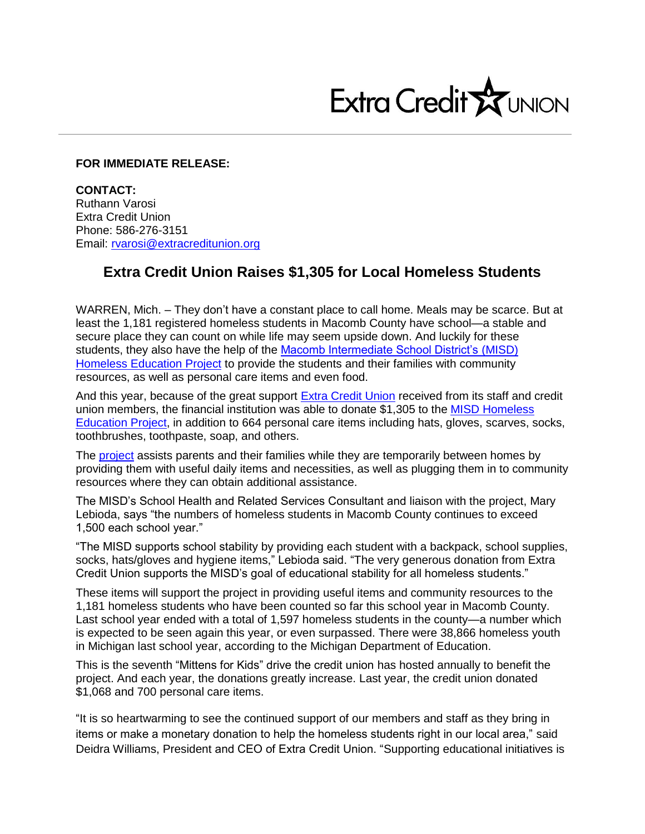

## **FOR IMMEDIATE RELEASE:**

**CONTACT:** Ruthann Varosi Extra Credit Union Phone: 586-276-3151 Email: [rvarosi@extracreditunion.org](mailto:rvarosi@extracreditunion.org)

## **Extra Credit Union Raises \$1,305 for Local Homeless Students**

WARREN, Mich. – They don't have a constant place to call home. Meals may be scarce. But at least the 1,181 registered homeless students in Macomb County have school—a stable and secure place they can count on while life may seem upside down. And luckily for these students, they also have the help of the [Macomb Intermediate School District's \(MISD\)](http://www.misd.net/homeless/overview.html)  [Homeless Education Project](http://www.misd.net/homeless/overview.html) to provide the students and their families with community resources, as well as personal care items and even food.

And this year, because of the great support [Extra Credit Union](https://www.extracreditunion.org/) received from its staff and credit union members, the financial institution was able to donate \$1,305 to the [MISD Homeless](http://www.misd.net/homeless/index.html)  [Education Project,](http://www.misd.net/homeless/index.html) in addition to 664 personal care items including hats, gloves, scarves, socks, toothbrushes, toothpaste, soap, and others.

The [project](http://www.misd.net/homeless/index.html) assists parents and their families while they are temporarily between homes by providing them with useful daily items and necessities, as well as plugging them in to community resources where they can obtain additional assistance.

The MISD's School Health and Related Services Consultant and liaison with the project, Mary Lebioda, says "the numbers of homeless students in Macomb County continues to exceed 1,500 each school year."

"The MISD supports school stability by providing each student with a backpack, school supplies, socks, hats/gloves and hygiene items," Lebioda said. "The very generous donation from Extra Credit Union supports the MISD's goal of educational stability for all homeless students."

These items will support the project in providing useful items and community resources to the 1,181 homeless students who have been counted so far this school year in Macomb County. Last school year ended with a total of 1,597 homeless students in the county—a number which is expected to be seen again this year, or even surpassed. There were 38,866 homeless youth in Michigan last school year, according to the Michigan Department of Education.

This is the seventh "Mittens for Kids" drive the credit union has hosted annually to benefit the project. And each year, the donations greatly increase. Last year, the credit union donated \$1,068 and 700 personal care items.

"It is so heartwarming to see the continued support of our members and staff as they bring in items or make a monetary donation to help the homeless students right in our local area," said Deidra Williams, President and CEO of Extra Credit Union. "Supporting educational initiatives is